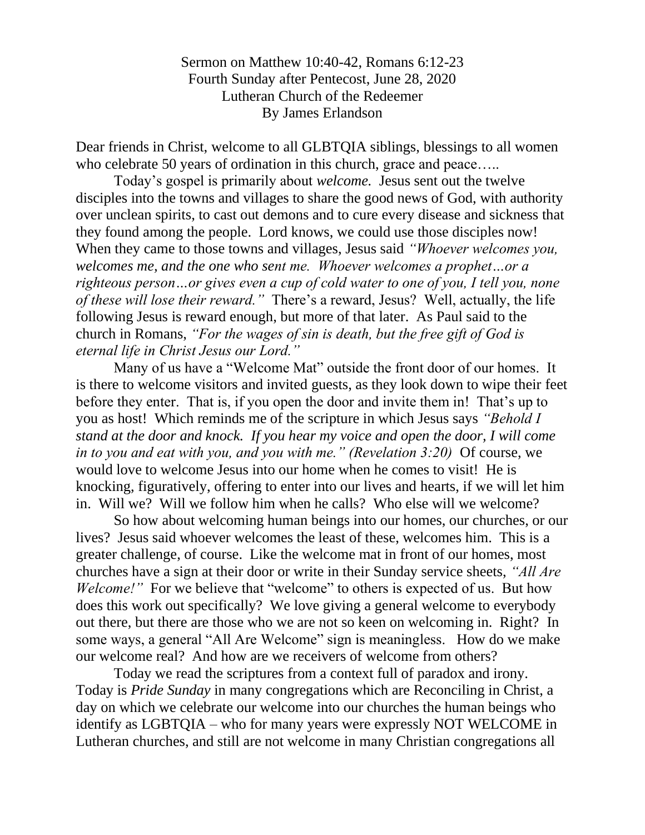Sermon on Matthew 10:40-42, Romans 6:12-23 Fourth Sunday after Pentecost, June 28, 2020 Lutheran Church of the Redeemer By James Erlandson

Dear friends in Christ, welcome to all GLBTQIA siblings, blessings to all women who celebrate 50 years of ordination in this church, grace and peace.....

Today's gospel is primarily about *welcome.* Jesus sent out the twelve disciples into the towns and villages to share the good news of God, with authority over unclean spirits, to cast out demons and to cure every disease and sickness that they found among the people. Lord knows, we could use those disciples now! When they came to those towns and villages, Jesus said *"Whoever welcomes you, welcomes me, and the one who sent me. Whoever welcomes a prophet…or a righteous person…or gives even a cup of cold water to one of you, I tell you, none of these will lose their reward."* There's a reward, Jesus? Well, actually, the life following Jesus is reward enough, but more of that later. As Paul said to the church in Romans, *"For the wages of sin is death, but the free gift of God is eternal life in Christ Jesus our Lord."*

Many of us have a "Welcome Mat" outside the front door of our homes. It is there to welcome visitors and invited guests, as they look down to wipe their feet before they enter. That is, if you open the door and invite them in! That's up to you as host! Which reminds me of the scripture in which Jesus says *"Behold I stand at the door and knock. If you hear my voice and open the door, I will come in to you and eat with you, and you with me." (Revelation 3:20)* Of course, we would love to welcome Jesus into our home when he comes to visit! He is knocking, figuratively, offering to enter into our lives and hearts, if we will let him in. Will we? Will we follow him when he calls? Who else will we welcome?

So how about welcoming human beings into our homes, our churches, or our lives? Jesus said whoever welcomes the least of these, welcomes him. This is a greater challenge, of course. Like the welcome mat in front of our homes, most churches have a sign at their door or write in their Sunday service sheets, *"All Are Welcome!*" For we believe that "welcome" to others is expected of us. But how does this work out specifically? We love giving a general welcome to everybody out there, but there are those who we are not so keen on welcoming in. Right? In some ways, a general "All Are Welcome" sign is meaningless. How do we make our welcome real? And how are we receivers of welcome from others?

Today we read the scriptures from a context full of paradox and irony. Today is *Pride Sunday* in many congregations which are Reconciling in Christ, a day on which we celebrate our welcome into our churches the human beings who identify as LGBTQIA – who for many years were expressly NOT WELCOME in Lutheran churches, and still are not welcome in many Christian congregations all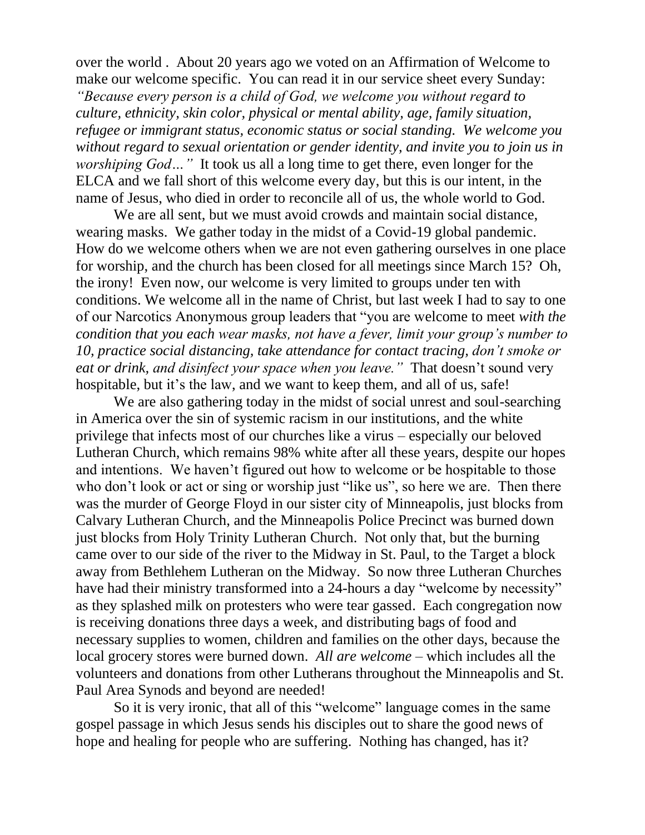over the world . About 20 years ago we voted on an Affirmation of Welcome to make our welcome specific. You can read it in our service sheet every Sunday: *"Because every person is a child of God, we welcome you without regard to culture, ethnicity, skin color, physical or mental ability, age, family situation, refugee or immigrant status, economic status or social standing. We welcome you without regard to sexual orientation or gender identity, and invite you to join us in worshiping God...*" It took us all a long time to get there, even longer for the ELCA and we fall short of this welcome every day, but this is our intent, in the name of Jesus, who died in order to reconcile all of us, the whole world to God.

We are all sent, but we must avoid crowds and maintain social distance, wearing masks. We gather today in the midst of a Covid-19 global pandemic. How do we welcome others when we are not even gathering ourselves in one place for worship, and the church has been closed for all meetings since March 15? Oh, the irony! Even now, our welcome is very limited to groups under ten with conditions. We welcome all in the name of Christ, but last week I had to say to one of our Narcotics Anonymous group leaders that "you are welcome to meet *with the condition that you each wear masks, not have a fever, limit your group's number to 10, practice social distancing, take attendance for contact tracing, don't smoke or eat or drink, and disinfect your space when you leave."* That doesn't sound very hospitable, but it's the law, and we want to keep them, and all of us, safe!

We are also gathering today in the midst of social unrest and soul-searching in America over the sin of systemic racism in our institutions, and the white privilege that infects most of our churches like a virus – especially our beloved Lutheran Church, which remains 98% white after all these years, despite our hopes and intentions. We haven't figured out how to welcome or be hospitable to those who don't look or act or sing or worship just "like us", so here we are. Then there was the murder of George Floyd in our sister city of Minneapolis, just blocks from Calvary Lutheran Church, and the Minneapolis Police Precinct was burned down just blocks from Holy Trinity Lutheran Church. Not only that, but the burning came over to our side of the river to the Midway in St. Paul, to the Target a block away from Bethlehem Lutheran on the Midway. So now three Lutheran Churches have had their ministry transformed into a 24-hours a day "welcome by necessity" as they splashed milk on protesters who were tear gassed. Each congregation now is receiving donations three days a week, and distributing bags of food and necessary supplies to women, children and families on the other days, because the local grocery stores were burned down. *All are welcome* – which includes all the volunteers and donations from other Lutherans throughout the Minneapolis and St. Paul Area Synods and beyond are needed!

So it is very ironic, that all of this "welcome" language comes in the same gospel passage in which Jesus sends his disciples out to share the good news of hope and healing for people who are suffering. Nothing has changed, has it?